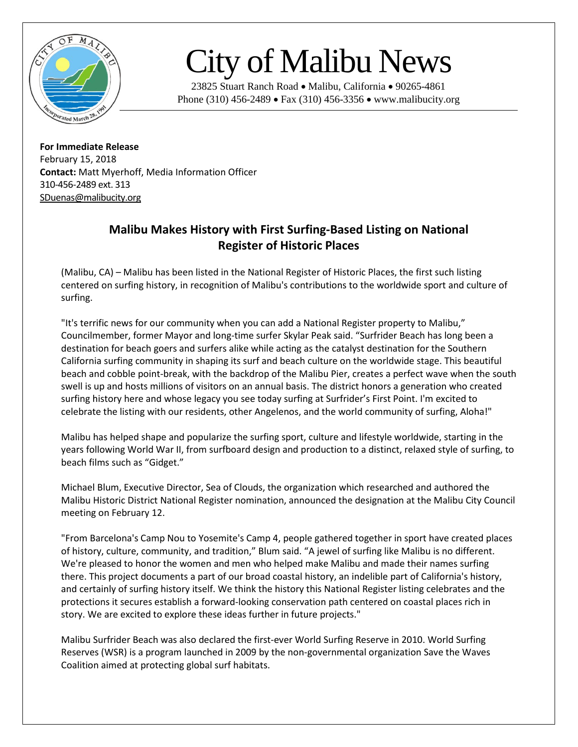

## City of Malibu News

23825 Stuart Ranch Road • Malibu, California • 90265-4861 Phone (310) 456-2489 • Fax (310) 456-3356 • www.malibucity.org

**For Immediate Release** February 15, 2018 **Contact:** Matt Myerhoff, Media Information Officer 310-456-2489 ext. 313 [SDuenas@malibucity.org](mailto:SDuenas@malibucity.org)

## **Malibu Makes History with First Surfing-Based Listing on National Register of Historic Places**

(Malibu, CA) – Malibu has been listed in the National Register of Historic Places, the first such listing centered on surfing history, in recognition of Malibu's contributions to the worldwide sport and culture of surfing.

"It's terrific news for our community when you can add a National Register property to Malibu," Councilmember, former Mayor and long-time surfer Skylar Peak said. "Surfrider Beach has long been a destination for beach goers and surfers alike while acting as the catalyst destination for the Southern California surfing community in shaping its surf and beach culture on the worldwide stage. This beautiful beach and cobble point-break, with the backdrop of the Malibu Pier, creates a perfect wave when the south swell is up and hosts millions of visitors on an annual basis. The district honors a generation who created surfing history here and whose legacy you see today surfing at Surfrider's First Point. I'm excited to celebrate the listing with our residents, other Angelenos, and the world community of surfing, Aloha!"

Malibu has helped shape and popularize the surfing sport, culture and lifestyle worldwide, starting in the years following World War II, from surfboard design and production to a distinct, relaxed style of surfing, to beach films such as "Gidget."

Michael Blum, Executive Director, Sea of Clouds, the organization which researched and authored the Malibu Historic District National Register nomination, announced the designation at the Malibu City Council meeting on February 12.

"From Barcelona's Camp Nou to Yosemite's Camp 4, people gathered together in sport have created places of history, culture, community, and tradition," Blum said. "A jewel of surfing like Malibu is no different. We're pleased to honor the women and men who helped make Malibu and made their names surfing there. This project documents a part of our broad coastal history, an indelible part of California's history, and certainly of surfing history itself. We think the history this National Register listing celebrates and the protections it secures establish a forward-looking conservation path centered on coastal places rich in story. We are excited to explore these ideas further in future projects."

Malibu Surfrider Beach was also declared the first-ever World Surfing Reserve in 2010. World Surfing Reserves (WSR) is a program launched in 2009 by the non-governmental organization Save the Waves Coalition aimed at protecting global surf habitats.